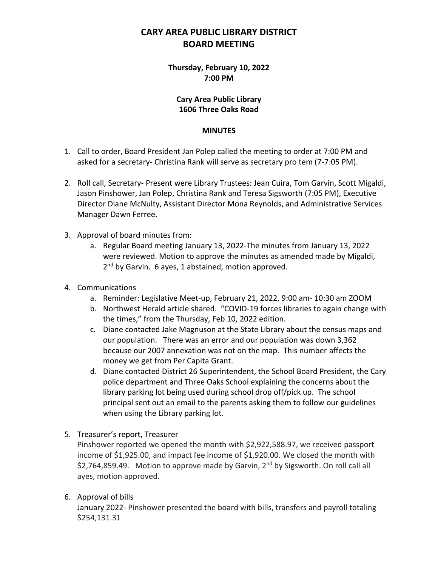# **CARY AREA PUBLIC LIBRARY DISTRICT BOARD MEETING**

## **Thursday, February 10, 2022 7:00 PM**

### **Cary Area Public Library 1606 Three Oaks Road**

#### **MINUTES**

- 1. Call to order, Board President Jan Polep called the meeting to order at 7:00 PM and asked for a secretary- Christina Rank will serve as secretary pro tem (7-7:05 PM).
- 2. Roll call, Secretary- Present were Library Trustees: Jean Cuira, Tom Garvin, Scott Migaldi, Jason Pinshower, Jan Polep, Christina Rank and Teresa Sigsworth (7:05 PM), Executive Director Diane McNulty, Assistant Director Mona Reynolds, and Administrative Services Manager Dawn Ferree.
- 3. Approval of board minutes from:
	- a. Regular Board meeting January 13, 2022-The minutes from January 13, 2022 were reviewed. Motion to approve the minutes as amended made by Migaldi, 2<sup>nd</sup> by Garvin. 6 ayes, 1 abstained, motion approved.
- 4. Communications
	- a. Reminder: Legislative Meet-up, February 21, 2022, 9:00 am- 10:30 am ZOOM
	- b. Northwest Herald article shared. "COVID-19 forces libraries to again change with the times," from the Thursday, Feb 10, 2022 edition.
	- c. Diane contacted Jake Magnuson at the State Library about the census maps and our population. There was an error and our population was down 3,362 because our 2007 annexation was not on the map. This number affects the money we get from Per Capita Grant.
	- d. Diane contacted District 26 Superintendent, the School Board President, the Cary police department and Three Oaks School explaining the concerns about the library parking lot being used during school drop off/pick up. The school principal sent out an email to the parents asking them to follow our guidelines when using the Library parking lot.
- 5. Treasurer's report, Treasurer

Pinshower reported we opened the month with \$2,922,588.97, we received passport income of \$1,925.00, and impact fee income of \$1,920.00. We closed the month with  $$2,764,859.49$ . Motion to approve made by Garvin,  $2<sup>nd</sup>$  by Sigsworth. On roll call all ayes, motion approved.

## 6. Approval of bills

January 2022- Pinshower presented the board with bills, transfers and payroll totaling \$254,131.31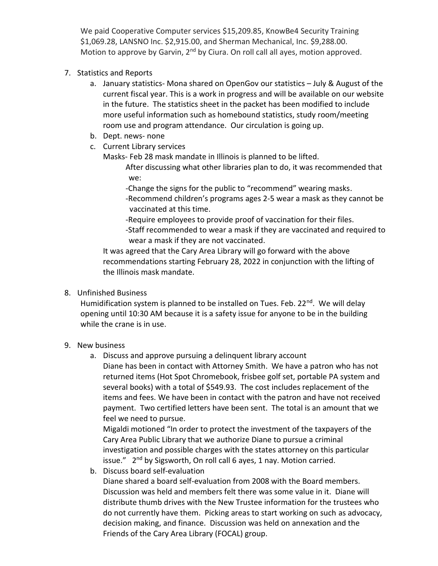We paid Cooperative Computer services \$15,209.85, KnowBe4 Security Training \$1,069.28, LANSNO Inc. \$2,915.00, and Sherman Mechanical, Inc. \$9,288.00. Motion to approve by Garvin, 2<sup>nd</sup> by Ciura. On roll call all ayes, motion approved.

- 7. Statistics and Reports
	- a. January statistics- Mona shared on OpenGov our statistics July & August of the current fiscal year. This is a work in progress and will be available on our website in the future. The statistics sheet in the packet has been modified to include more useful information such as homebound statistics, study room/meeting room use and program attendance. Our circulation is going up.
	- b. Dept. news- none
	- c. Current Library services

Masks- Feb 28 mask mandate in Illinois is planned to be lifted.

After discussing what other libraries plan to do, it was recommended that we:

- -Change the signs for the public to "recommend" wearing masks.
- -Recommend children's programs ages 2-5 wear a mask as they cannot be vaccinated at this time.
- -Require employees to provide proof of vaccination for their files.
- -Staff recommended to wear a mask if they are vaccinated and required to wear a mask if they are not vaccinated.

It was agreed that the Cary Area Library will go forward with the above recommendations starting February 28, 2022 in conjunction with the lifting of the Illinois mask mandate.

# 8. Unfinished Business

Humidification system is planned to be installed on Tues. Feb.  $22^{nd}$ . We will delay opening until 10:30 AM because it is a safety issue for anyone to be in the building while the crane is in use.

# 9. New business

a. Discuss and approve pursuing a delinquent library account

Diane has been in contact with Attorney Smith. We have a patron who has not returned items (Hot Spot Chromebook, frisbee golf set, portable PA system and several books) with a total of \$549.93. The cost includes replacement of the items and fees. We have been in contact with the patron and have not received payment. Two certified letters have been sent. The total is an amount that we feel we need to pursue.

Migaldi motioned "In order to protect the investment of the taxpayers of the Cary Area Public Library that we authorize Diane to pursue a criminal investigation and possible charges with the states attorney on this particular issue." 2<sup>nd</sup> by Sigsworth, On roll call 6 ayes, 1 nay. Motion carried.

b. Discuss board self-evaluation

Diane shared a board self-evaluation from 2008 with the Board members. Discussion was held and members felt there was some value in it. Diane will distribute thumb drives with the New Trustee information for the trustees who do not currently have them. Picking areas to start working on such as advocacy, decision making, and finance. Discussion was held on annexation and the Friends of the Cary Area Library (FOCAL) group.